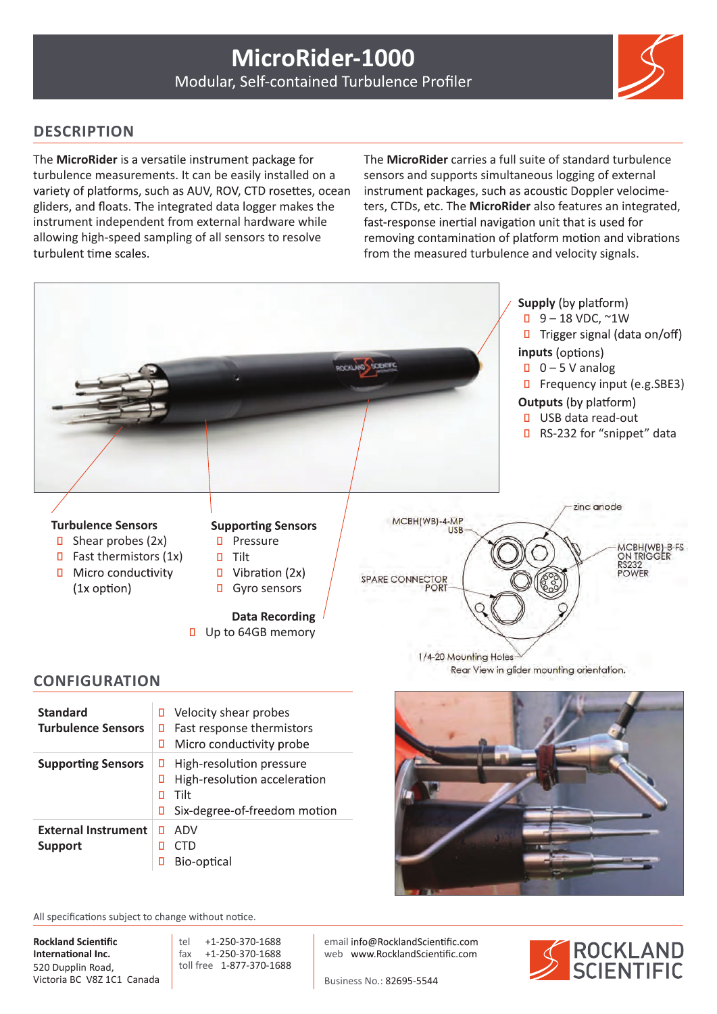

## **DESCRIPTION**

The **MicroRider** is a versatile instrument package for turbulence measurements. It can be easily installed on a variety of platforms, such as AUV, ROV, CTD rosettes, ocean gliders, and floats. The integrated data logger makes the instrument independent from external hardware while allowing high-speed sampling of all sensors to resolve turbulent time scales.

The **MicroRider** carries a full suite of standard turbulence sensors and supports simultaneous logging of external instrument packages, such as acoustic Doppler velocimeters, CTDs, etc. The **MicroRider** also features an integrated, fast-response inertial navigation unit that is used for removing contamination of platform motion and vibrations from the measured turbulence and velocity signals.



## **CONFIGURATION**

| <b>Standard</b><br><b>Turbulence Sensors</b> | 0<br>п<br>п | Velocity shear probes<br>Fast response thermistors<br>Micro conductivity probe                   |
|----------------------------------------------|-------------|--------------------------------------------------------------------------------------------------|
| <b>Supporting Sensors</b>                    | п<br>п      | High-resolution pressure<br>High-resolution acceleration<br>Tilt<br>Six-degree-of-freedom motion |
| <b>External Instrument</b><br><b>Support</b> | п<br>Π      | ADV<br>CTD<br>Bio-optical                                                                        |

All specifications subject to change without notice.

**Rockland Scientific** International Inc. 520 Dupplin Road, Victoria BC V8Z 1C1 Canada

tel +1-250-370-1688<br>fax +1-250-370-1688 fax +1-250-370-1688 toll free 1-877-370-1688

email info@RocklandScientific.com web www.RocklandScientific.com